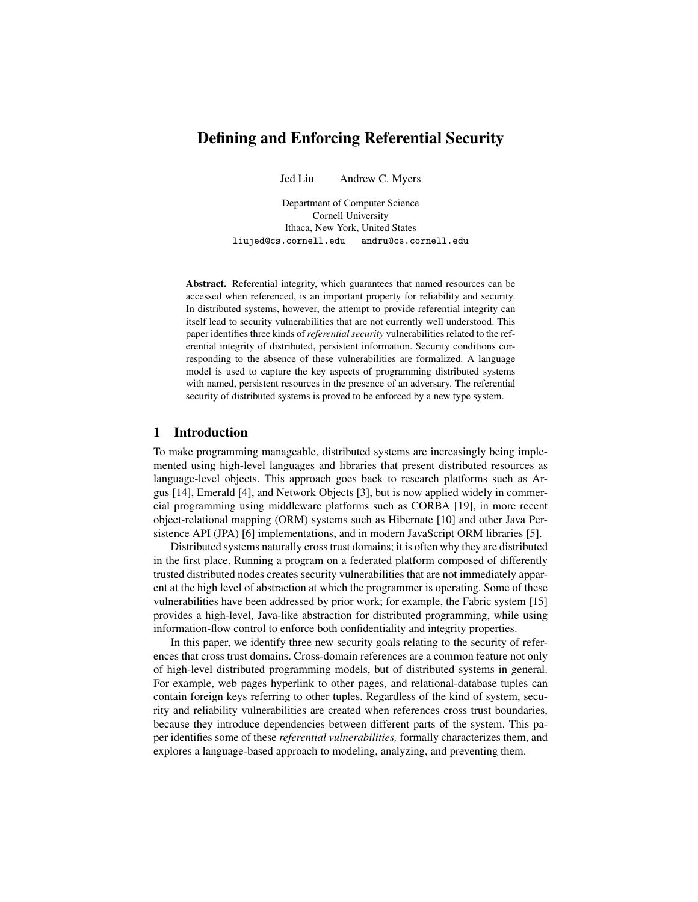# Defining and Enforcing Referential Security

Jed Liu Andrew C. Myers

Department of Computer Science Cornell University Ithaca, New York, United States liujed@cs.cornell.edu andru@cs.cornell.edu

Abstract. Referential integrity, which guarantees that named resources can be accessed when referenced, is an important property for reliability and security. In distributed systems, however, the attempt to provide referential integrity can itself lead to security vulnerabilities that are not currently well understood. This paper identifies three kinds of *referential security* vulnerabilities related to the referential integrity of distributed, persistent information. Security conditions corresponding to the absence of these vulnerabilities are formalized. A language model is used to capture the key aspects of programming distributed systems with named, persistent resources in the presence of an adversary. The referential security of distributed systems is proved to be enforced by a new type system.

# 1 Introduction

To make programming manageable, distributed systems are increasingly being implemented using high-level languages and libraries that present distributed resources as language-level objects. This approach goes back to research platforms such as Argus [\[14\]](#page-19-0), Emerald [\[4\]](#page-19-1), and Network Objects [\[3\]](#page-19-2), but is now applied widely in commercial programming using middleware platforms such as CORBA [\[19\]](#page-19-3), in more recent object-relational mapping (ORM) systems such as Hibernate [\[10\]](#page-19-4) and other Java Persistence API (JPA) [\[6\]](#page-19-5) implementations, and in modern JavaScript ORM libraries [\[5\]](#page-19-6).

Distributed systems naturally cross trust domains; it is often why they are distributed in the first place. Running a program on a federated platform composed of differently trusted distributed nodes creates security vulnerabilities that are not immediately apparent at the high level of abstraction at which the programmer is operating. Some of these vulnerabilities have been addressed by prior work; for example, the Fabric system [\[15\]](#page-19-7) provides a high-level, Java-like abstraction for distributed programming, while using information-flow control to enforce both confidentiality and integrity properties.

In this paper, we identify three new security goals relating to the security of references that cross trust domains. Cross-domain references are a common feature not only of high-level distributed programming models, but of distributed systems in general. For example, web pages hyperlink to other pages, and relational-database tuples can contain foreign keys referring to other tuples. Regardless of the kind of system, security and reliability vulnerabilities are created when references cross trust boundaries, because they introduce dependencies between different parts of the system. This paper identifies some of these *referential vulnerabilities,* formally characterizes them, and explores a language-based approach to modeling, analyzing, and preventing them.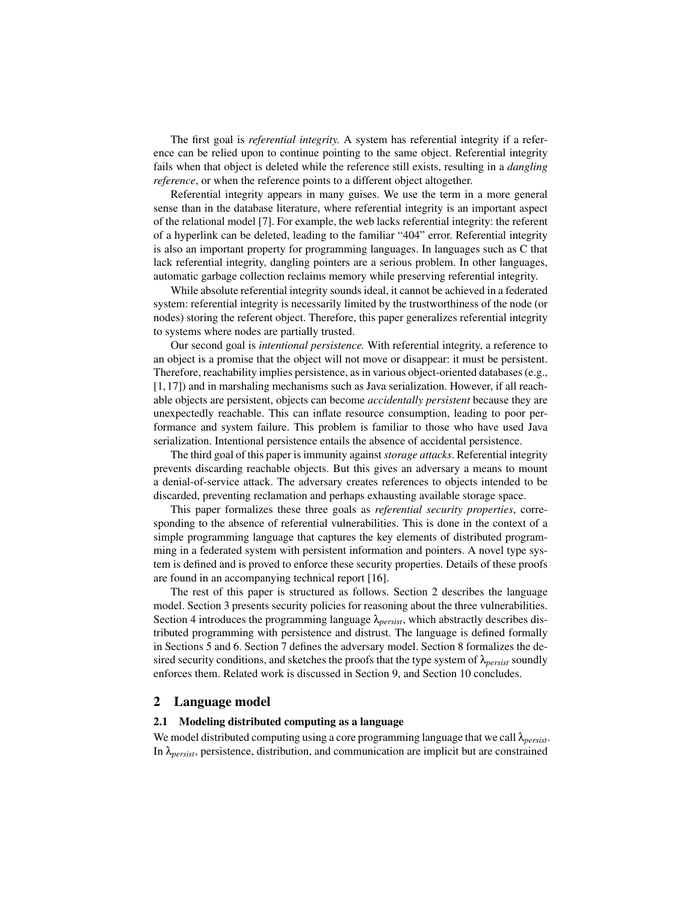The first goal is *referential integrity.* A system has referential integrity if a reference can be relied upon to continue pointing to the same object. Referential integrity fails when that object is deleted while the reference still exists, resulting in a *dangling reference*, or when the reference points to a different object altogether.

Referential integrity appears in many guises. We use the term in a more general sense than in the database literature, where referential integrity is an important aspect of the relational model [\[7\]](#page-19-8). For example, the web lacks referential integrity: the referent of a hyperlink can be deleted, leading to the familiar "404" error. Referential integrity is also an important property for programming languages. In languages such as C that lack referential integrity, dangling pointers are a serious problem. In other languages, automatic garbage collection reclaims memory while preserving referential integrity.

While absolute referential integrity sounds ideal, it cannot be achieved in a federated system: referential integrity is necessarily limited by the trustworthiness of the node (or nodes) storing the referent object. Therefore, this paper generalizes referential integrity to systems where nodes are partially trusted.

Our second goal is *intentional persistence.* With referential integrity, a reference to an object is a promise that the object will not move or disappear: it must be persistent. Therefore, reachability implies persistence, as in various object-oriented databases (e.g., [\[1,](#page-19-9)[17\]](#page-19-10)) and in marshaling mechanisms such as Java serialization. However, if all reachable objects are persistent, objects can become *accidentally persistent* because they are unexpectedly reachable. This can inflate resource consumption, leading to poor performance and system failure. This problem is familiar to those who have used Java serialization. Intentional persistence entails the absence of accidental persistence.

The third goal of this paper is immunity against*storage attacks*. Referential integrity prevents discarding reachable objects. But this gives an adversary a means to mount a denial-of-service attack. The adversary creates references to objects intended to be discarded, preventing reclamation and perhaps exhausting available storage space.

This paper formalizes these three goals as *referential security properties*, corresponding to the absence of referential vulnerabilities. This is done in the context of a simple programming language that captures the key elements of distributed programming in a federated system with persistent information and pointers. A novel type system is defined and is proved to enforce these security properties. Details of these proofs are found in an accompanying technical report [\[16\]](#page-19-11).

The rest of this paper is structured as follows. Section [2](#page-1-0) describes the language model. Section [3](#page-3-0) presents security policies for reasoning about the three vulnerabilities. Section [4](#page-6-0) introduces the programming language λ*persist*, which abstractly describes distributed programming with persistence and distrust. The language is defined formally in Sections [5](#page-8-0) and [6.](#page-13-0) Section [7](#page-15-0) defines the adversary model. Section [8](#page-16-0) formalizes the desired security conditions, and sketches the proofs that the type system of  $\lambda_{\text{persist}}$  soundly enforces them. Related work is discussed in Section [9,](#page-17-0) and Section [10](#page-18-0) concludes.

# <span id="page-1-0"></span>2 Language model

## 2.1 Modeling distributed computing as a language

We model distributed computing using a core programming language that we call λ*persist*. In λ*persist*, persistence, distribution, and communication are implicit but are constrained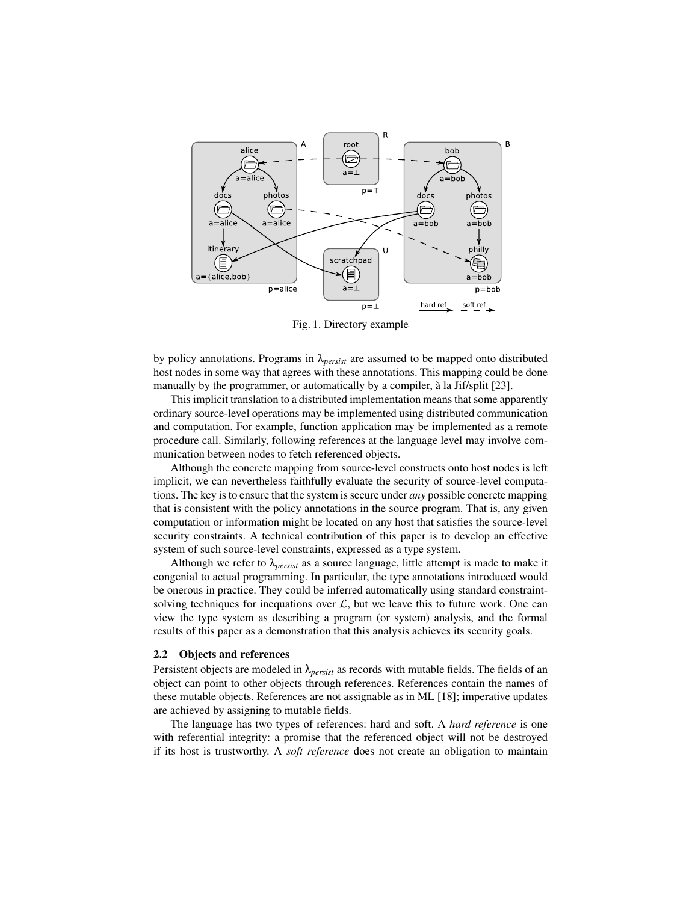<span id="page-2-0"></span>

Fig. 1. Directory example

by policy annotations. Programs in λ*persist* are assumed to be mapped onto distributed host nodes in some way that agrees with these annotations. This mapping could be done manually by the programmer, or automatically by a compiler, à la Jif/split [[23\]](#page-19-12).

This implicit translation to a distributed implementation means that some apparently ordinary source-level operations may be implemented using distributed communication and computation. For example, function application may be implemented as a remote procedure call. Similarly, following references at the language level may involve communication between nodes to fetch referenced objects.

Although the concrete mapping from source-level constructs onto host nodes is left implicit, we can nevertheless faithfully evaluate the security of source-level computations. The key is to ensure that the system is secure under *any* possible concrete mapping that is consistent with the policy annotations in the source program. That is, any given computation or information might be located on any host that satisfies the source-level security constraints. A technical contribution of this paper is to develop an effective system of such source-level constraints, expressed as a type system.

Although we refer to  $\lambda_{persist}$  as a source language, little attempt is made to make it congenial to actual programming. In particular, the type annotations introduced would be onerous in practice. They could be inferred automatically using standard constraintsolving techniques for inequations over  $\mathcal{L}$ , but we leave this to future work. One can view the type system as describing a program (or system) analysis, and the formal results of this paper as a demonstration that this analysis achieves its security goals.

#### 2.2 Objects and references

Persistent objects are modeled in λ*persist* as records with mutable fields. The fields of an object can point to other objects through references. References contain the names of these mutable objects. References are not assignable as in ML [\[18\]](#page-19-13); imperative updates are achieved by assigning to mutable fields.

The language has two types of references: hard and soft. A *hard reference* is one with referential integrity: a promise that the referenced object will not be destroyed if its host is trustworthy. A *soft reference* does not create an obligation to maintain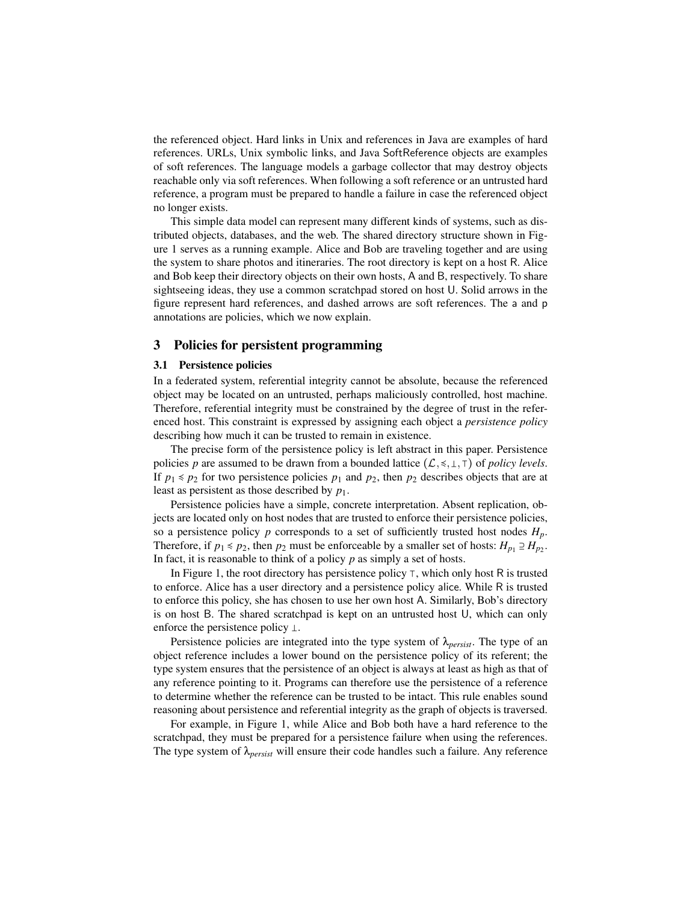the referenced object. Hard links in Unix and references in Java are examples of hard references. URLs, Unix symbolic links, and Java SoftReference objects are examples of soft references. The language models a garbage collector that may destroy objects reachable only via soft references. When following a soft reference or an untrusted hard reference, a program must be prepared to handle a failure in case the referenced object no longer exists.

This simple data model can represent many different kinds of systems, such as distributed objects, databases, and the web. The shared directory structure shown in Figure [1](#page-2-0) serves as a running example. Alice and Bob are traveling together and are using the system to share photos and itineraries. The root directory is kept on a host R. Alice and Bob keep their directory objects on their own hosts, A and B, respectively. To share sightseeing ideas, they use a common scratchpad stored on host U. Solid arrows in the figure represent hard references, and dashed arrows are soft references. The a and p annotations are policies, which we now explain.

## <span id="page-3-0"></span>3 Policies for persistent programming

#### 3.1 Persistence policies

In a federated system, referential integrity cannot be absolute, because the referenced object may be located on an untrusted, perhaps maliciously controlled, host machine. Therefore, referential integrity must be constrained by the degree of trust in the referenced host. This constraint is expressed by assigning each object a *persistence policy* describing how much it can be trusted to remain in existence.

The precise form of the persistence policy is left abstract in this paper. Persistence policies *p* are assumed to be drawn from a bounded lattice ( $\mathcal{L}, \leq, \perp, \perp$ ) of *policy levels*. If  $p_1 \leq p_2$  for two persistence policies  $p_1$  and  $p_2$ , then  $p_2$  describes objects that are at least as persistent as those described by *p*1.

Persistence policies have a simple, concrete interpretation. Absent replication, objects are located only on host nodes that are trusted to enforce their persistence policies, so a persistence policy  $p$  corresponds to a set of sufficiently trusted host nodes  $H_p$ . Therefore, if  $p_1 \leq p_2$ , then  $p_2$  must be enforceable by a smaller set of hosts:  $H_{p_1} \supseteq H_{p_2}$ . In fact, it is reasonable to think of a policy *p* as simply a set of hosts.

In Figure [1,](#page-2-0) the root directory has persistence policy ⊺, which only host R is trusted to enforce. Alice has a user directory and a persistence policy alice. While R is trusted to enforce this policy, she has chosen to use her own host A. Similarly, Bob's directory is on host B. The shared scratchpad is kept on an untrusted host U, which can only enforce the persistence policy  $\perp$ .

Persistence policies are integrated into the type system of λ*persist*. The type of an object reference includes a lower bound on the persistence policy of its referent; the type system ensures that the persistence of an object is always at least as high as that of any reference pointing to it. Programs can therefore use the persistence of a reference to determine whether the reference can be trusted to be intact. This rule enables sound reasoning about persistence and referential integrity as the graph of objects is traversed.

For example, in Figure [1,](#page-2-0) while Alice and Bob both have a hard reference to the scratchpad, they must be prepared for a persistence failure when using the references. The type system of λ*persist* will ensure their code handles such a failure. Any reference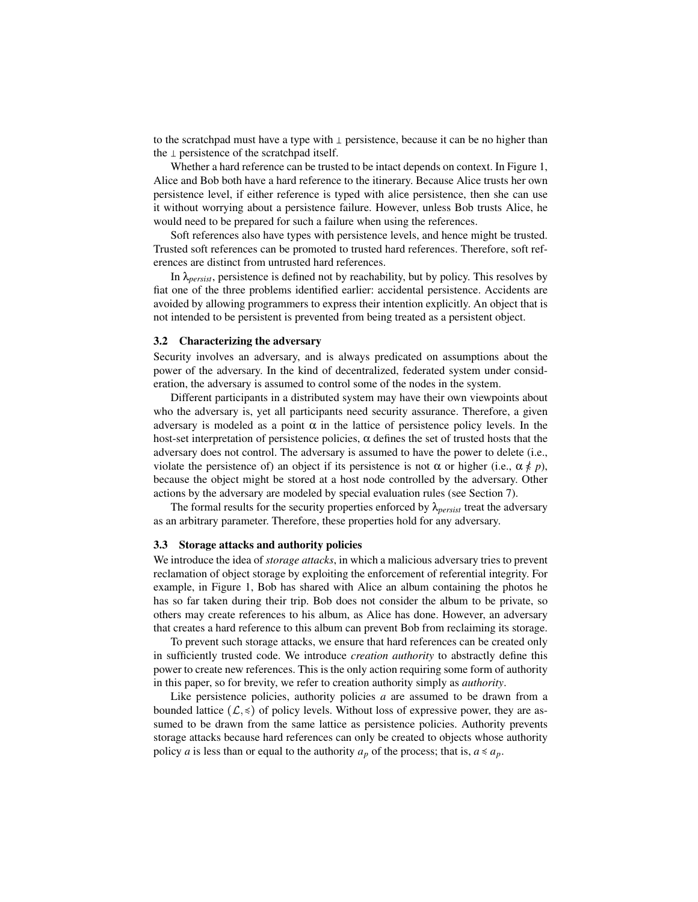to the scratchpad must have a type with  $\perp$  persistence, because it can be no higher than the  $\perp$  persistence of the scratchpad itself.

Whether a hard reference can be trusted to be intact depends on context. In Figure [1,](#page-2-0) Alice and Bob both have a hard reference to the itinerary. Because Alice trusts her own persistence level, if either reference is typed with alice persistence, then she can use it without worrying about a persistence failure. However, unless Bob trusts Alice, he would need to be prepared for such a failure when using the references.

Soft references also have types with persistence levels, and hence might be trusted. Trusted soft references can be promoted to trusted hard references. Therefore, soft references are distinct from untrusted hard references.

In  $\lambda_{persist}$ , persistence is defined not by reachability, but by policy. This resolves by fiat one of the three problems identified earlier: accidental persistence. Accidents are avoided by allowing programmers to express their intention explicitly. An object that is not intended to be persistent is prevented from being treated as a persistent object.

### 3.2 Characterizing the adversary

Security involves an adversary, and is always predicated on assumptions about the power of the adversary. In the kind of decentralized, federated system under consideration, the adversary is assumed to control some of the nodes in the system.

Different participants in a distributed system may have their own viewpoints about who the adversary is, yet all participants need security assurance. Therefore, a given adversary is modeled as a point  $\alpha$  in the lattice of persistence policy levels. In the host-set interpretation of persistence policies,  $\alpha$  defines the set of trusted hosts that the adversary does not control. The adversary is assumed to have the power to delete (i.e., violate the persistence of) an object if its persistence is not  $\alpha$  or higher (i.e.,  $\alpha \neq p$ ), because the object might be stored at a host node controlled by the adversary. Other actions by the adversary are modeled by special evaluation rules (see Section [7\)](#page-15-0).

The formal results for the security properties enforced by  $\lambda_{persist}$  treat the adversary as an arbitrary parameter. Therefore, these properties hold for any adversary.

### 3.3 Storage attacks and authority policies

We introduce the idea of *storage attacks*, in which a malicious adversary tries to prevent reclamation of object storage by exploiting the enforcement of referential integrity. For example, in Figure [1,](#page-2-0) Bob has shared with Alice an album containing the photos he has so far taken during their trip. Bob does not consider the album to be private, so others may create references to his album, as Alice has done. However, an adversary that creates a hard reference to this album can prevent Bob from reclaiming its storage.

To prevent such storage attacks, we ensure that hard references can be created only in sufficiently trusted code. We introduce *creation authority* to abstractly define this power to create new references. This is the only action requiring some form of authority in this paper, so for brevity, we refer to creation authority simply as *authority*.

Like persistence policies, authority policies *a* are assumed to be drawn from a bounded lattice  $(\mathcal{L}, \leq)$  of policy levels. Without loss of expressive power, they are assumed to be drawn from the same lattice as persistence policies. Authority prevents storage attacks because hard references can only be created to objects whose authority policy *a* is less than or equal to the authority  $a_p$  of the process; that is,  $a \le a_p$ .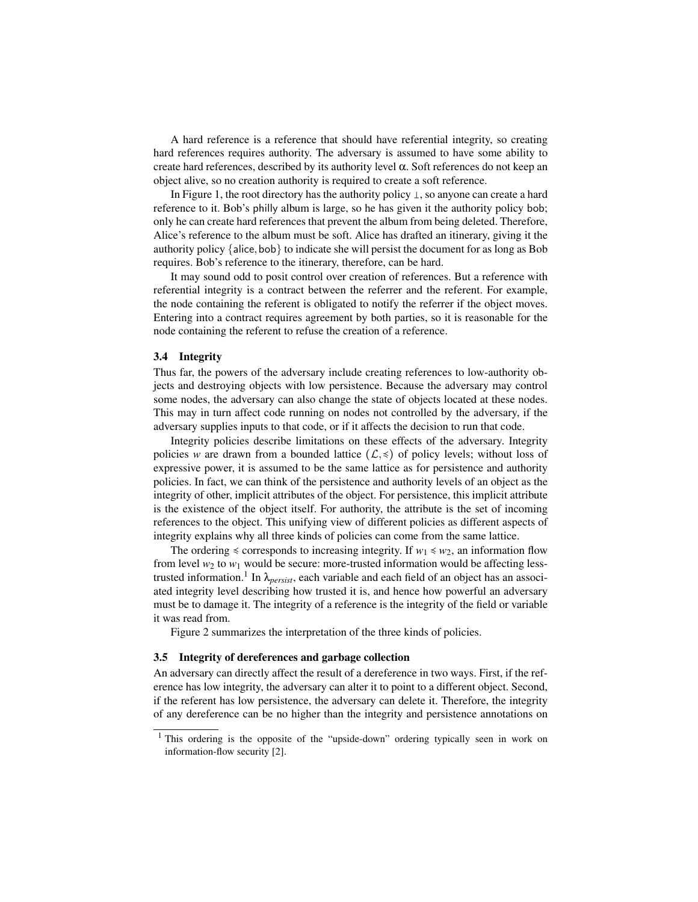A hard reference is a reference that should have referential integrity, so creating hard references requires authority. The adversary is assumed to have some ability to create hard references, described by its authority level α. Soft references do not keep an object alive, so no creation authority is required to create a soft reference.

In Figure [1,](#page-2-0) the root directory has the authority policy  $\perp$ , so anyone can create a hard reference to it. Bob's philly album is large, so he has given it the authority policy bob; only he can create hard references that prevent the album from being deleted. Therefore, Alice's reference to the album must be soft. Alice has drafted an itinerary, giving it the authority policy {alice,bob} to indicate she will persist the document for as long as Bob requires. Bob's reference to the itinerary, therefore, can be hard.

It may sound odd to posit control over creation of references. But a reference with referential integrity is a contract between the referrer and the referent. For example, the node containing the referent is obligated to notify the referrer if the object moves. Entering into a contract requires agreement by both parties, so it is reasonable for the node containing the referent to refuse the creation of a reference.

### 3.4 Integrity

Thus far, the powers of the adversary include creating references to low-authority objects and destroying objects with low persistence. Because the adversary may control some nodes, the adversary can also change the state of objects located at these nodes. This may in turn affect code running on nodes not controlled by the adversary, if the adversary supplies inputs to that code, or if it affects the decision to run that code.

Integrity policies describe limitations on these effects of the adversary. Integrity policies *w* are drawn from a bounded lattice ( $\mathcal{L}, \leq$ ) of policy levels; without loss of expressive power, it is assumed to be the same lattice as for persistence and authority policies. In fact, we can think of the persistence and authority levels of an object as the integrity of other, implicit attributes of the object. For persistence, this implicit attribute is the existence of the object itself. For authority, the attribute is the set of incoming references to the object. This unifying view of different policies as different aspects of integrity explains why all three kinds of policies can come from the same lattice.

The ordering  $\leq$  corresponds to increasing integrity. If  $w_1 \leq w_2$ , an information flow from level  $w_2$  to  $w_1$  would be secure: more-trusted information would be affecting less-trusted information.<sup>[1](#page-5-0)</sup> In  $\lambda_{persist}$ , each variable and each field of an object has an associated integrity level describing how trusted it is, and hence how powerful an adversary must be to damage it. The integrity of a reference is the integrity of the field or variable it was read from.

Figure [2](#page-6-1) summarizes the interpretation of the three kinds of policies.

### <span id="page-5-1"></span>3.5 Integrity of dereferences and garbage collection

An adversary can directly affect the result of a dereference in two ways. First, if the reference has low integrity, the adversary can alter it to point to a different object. Second, if the referent has low persistence, the adversary can delete it. Therefore, the integrity of any dereference can be no higher than the integrity and persistence annotations on

<span id="page-5-0"></span><sup>&</sup>lt;sup>1</sup> This ordering is the opposite of the "upside-down" ordering typically seen in work on information-flow security [\[2\]](#page-19-14).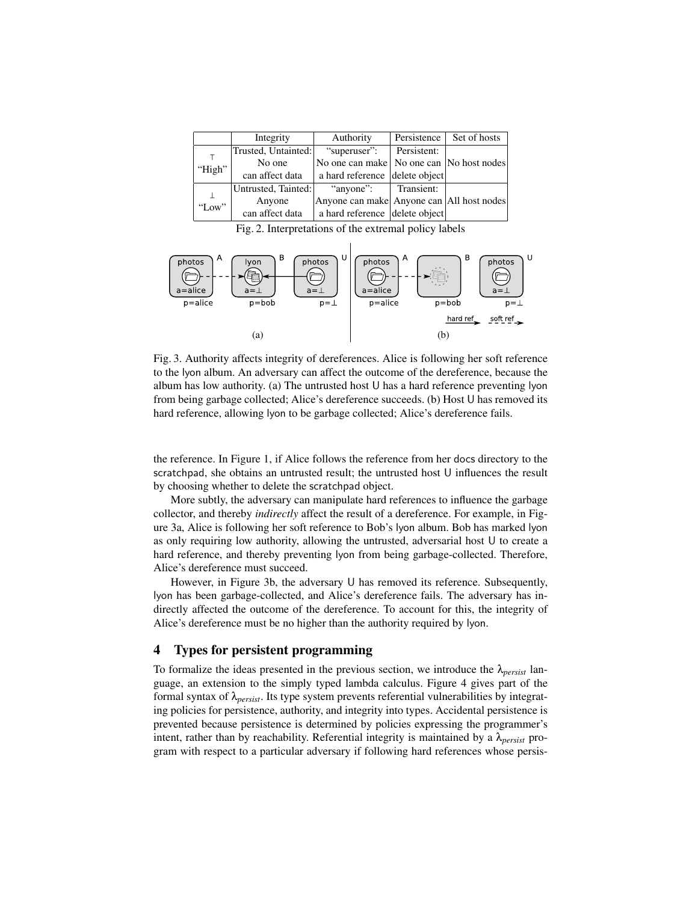<span id="page-6-1"></span>

|        | Integrity           | Authority                                    | Persistence | Set of hosts |
|--------|---------------------|----------------------------------------------|-------------|--------------|
|        | Trusted, Untainted: | "superuser":                                 | Persistent: |              |
| "High" | No one              | No one can make   No one can   No host nodes |             |              |
|        | can affect data     | a hard reference delete object               |             |              |
|        | Untrusted, Tainted: | "anyone":                                    | Transient:  |              |
| "Low"  | Anyone              | Anyone can make Anyone can All host nodes    |             |              |
|        | can affect data     | a hard reference delete object               |             |              |

<span id="page-6-3"></span>Fig. 2. Interpretations of the extremal policy labels



<span id="page-6-2"></span>Fig. 3. Authority affects integrity of dereferences. Alice is following her soft reference to the lyon album. An adversary can affect the outcome of the dereference, because the album has low authority. [\(a\)](#page-6-2) The untrusted host U has a hard reference preventing lyon from being garbage collected; Alice's dereference succeeds. [\(b\)](#page-6-3) Host U has removed its hard reference, allowing lyon to be garbage collected; Alice's dereference fails.

the reference. In Figure [1,](#page-2-0) if Alice follows the reference from her docs directory to the scratchpad, she obtains an untrusted result; the untrusted host U influences the result by choosing whether to delete the scratchpad object.

More subtly, the adversary can manipulate hard references to influence the garbage collector, and thereby *indirectly* affect the result of a dereference. For example, in Figure [3a,](#page-6-2) Alice is following her soft reference to Bob's lyon album. Bob has marked lyon as only requiring low authority, allowing the untrusted, adversarial host U to create a hard reference, and thereby preventing lyon from being garbage-collected. Therefore, Alice's dereference must succeed.

However, in Figure [3b,](#page-6-3) the adversary U has removed its reference. Subsequently, lyon has been garbage-collected, and Alice's dereference fails. The adversary has indirectly affected the outcome of the dereference. To account for this, the integrity of Alice's dereference must be no higher than the authority required by lyon.

# <span id="page-6-0"></span>4 Types for persistent programming

To formalize the ideas presented in the previous section, we introduce the λ*persist* language, an extension to the simply typed lambda calculus. Figure [4](#page-7-0) gives part of the formal syntax of λ*persist*. Its type system prevents referential vulnerabilities by integrating policies for persistence, authority, and integrity into types. Accidental persistence is prevented because persistence is determined by policies expressing the programmer's intent, rather than by reachability. Referential integrity is maintained by a λ*persist* program with respect to a particular adversary if following hard references whose persis-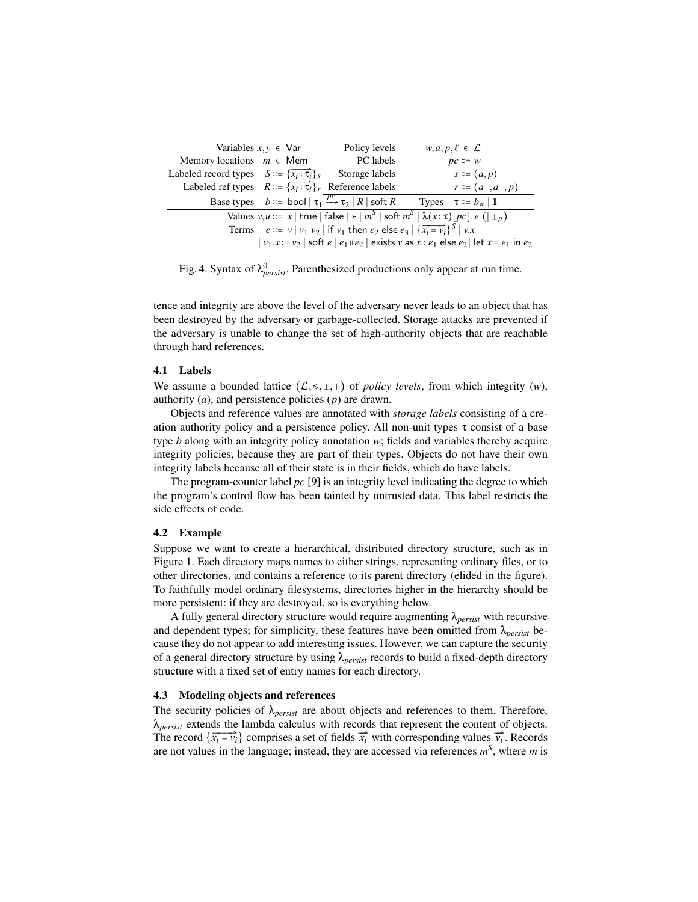<span id="page-7-0"></span>

| Variables $x, y \in \mathsf{Var}$                                                                                   |  | Policy levels                                                                                                               | $w, a, p, \ell \in \mathcal{L}$ |  |  |  |
|---------------------------------------------------------------------------------------------------------------------|--|-----------------------------------------------------------------------------------------------------------------------------|---------------------------------|--|--|--|
| Memory locations $m \in M$ em                                                                                       |  | PC labels                                                                                                                   | $pc ::= w$                      |  |  |  |
| Labeled record types $S ::= {\overline{x_i : \tau_i}_{s}}$                                                          |  | Storage labels                                                                                                              | $s ::= (a, p)$                  |  |  |  |
| Labeled ref types $R ::= {\overrightarrow{x_i : \tau_i}_{r}}_r  $ Reference labels                                  |  |                                                                                                                             | $r ::= (a^+, a^-, p)$           |  |  |  |
|                                                                                                                     |  | Base types $b ::= \text{bool}   \tau_1 \stackrel{pc}{\longrightarrow} \tau_2   R   \text{soft } R$ Types $\tau ::= b_w   1$ |                                 |  |  |  |
| Values $v, u ::= x \mid true \mid false \mid * \mid m^S \mid soft \mid \lambda(x : \tau) [pc]. e \mid \mid \bot_p)$ |  |                                                                                                                             |                                 |  |  |  |
| Terms $e ::= v   v_1 v_2  $ if $v_1$ then $e_2$ else $e_3   \{\overline{x_i} = \overline{v_i}\}^S   v.x$            |  |                                                                                                                             |                                 |  |  |  |
| $ v_1.x := v_2 $ soft $e  e_1  e_2 $ exists v as $x : e_1$ else $e_2 $ let $x = e_1$ in $e_2$                       |  |                                                                                                                             |                                 |  |  |  |

Fig. 4. Syntax of  $\lambda_{persist}^0$ . Parenthesized productions only appear at run time.

tence and integrity are above the level of the adversary never leads to an object that has been destroyed by the adversary or garbage-collected. Storage attacks are prevented if the adversary is unable to change the set of high-authority objects that are reachable through hard references.

## 4.1 Labels

We assume a bounded lattice  $(L, \leq, \perp, \perp)$  of *policy levels*, from which integrity  $(w)$ , authority (*a*), and persistence policies (*p*) are drawn.

Objects and reference values are annotated with *storage labels* consisting of a creation authority policy and a persistence policy. All non-unit types  $\tau$  consist of a base type *b* along with an integrity policy annotation *w*; fields and variables thereby acquire integrity policies, because they are part of their types. Objects do not have their own integrity labels because all of their state is in their fields, which do have labels.

The program-counter label *pc* [\[9\]](#page-19-15) is an integrity level indicating the degree to which the program's control flow has been tainted by untrusted data. This label restricts the side effects of code.

## 4.2 Example

Suppose we want to create a hierarchical, distributed directory structure, such as in Figure [1.](#page-2-0) Each directory maps names to either strings, representing ordinary files, or to other directories, and contains a reference to its parent directory (elided in the figure). To faithfully model ordinary filesystems, directories higher in the hierarchy should be more persistent: if they are destroyed, so is everything below.

A fully general directory structure would require augmenting λ*persist* with recursive and dependent types; for simplicity, these features have been omitted from  $\lambda_{persist}$  because they do not appear to add interesting issues. However, we can capture the security of a general directory structure by using λ*persist* records to build a fixed-depth directory structure with a fixed set of entry names for each directory.

# 4.3 Modeling objects and references

The security policies of λ*persist* are about objects and references to them. Therefore, λ*persist* extends the lambda calculus with records that represent the content of objects. The record  $\{\overrightarrow{x_i} = \overrightarrow{v_i}\}$  comprises a set of fields  $\overrightarrow{x_i}$  with corresponding values  $\overrightarrow{v_i}$ . Records are not values in the language; instead, they are accessed via references *m S* , where *m* is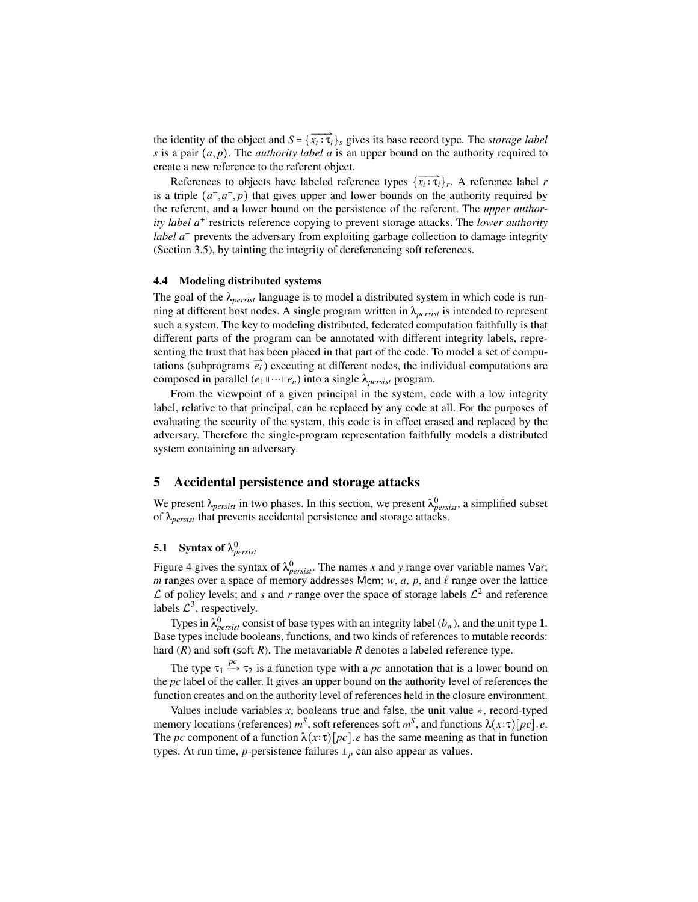the identity of the object and  $S = {\overline{x_i : \tau_i}}_s$  gives its base record type. The *storage label s* is a pair (*a*, *p*). The *authority label a* is an upper bound on the authority required to create a new reference to the referent object.

References to objects have labeled reference types  $\{\overrightarrow{x_i : \tau_i}\}_r$ . A reference label *r* is a triple  $(a^+, a^-, p)$  that gives upper and lower bounds on the authority required by the referent, and a lower bound on the persistence of the referent. The *upper authority label a*<sup>+</sup> restricts reference copying to prevent storage attacks. The *lower authority label a*<sup>−</sup> prevents the adversary from exploiting garbage collection to damage integrity (Section [3.5\)](#page-5-1), by tainting the integrity of dereferencing soft references.

### 4.4 Modeling distributed systems

The goal of the  $\lambda_{persist}$  language is to model a distributed system in which code is running at different host nodes. A single program written in λ*persist* is intended to represent such a system. The key to modeling distributed, federated computation faithfully is that different parts of the program can be annotated with different integrity labels, representing the trust that has been placed in that part of the code. To model a set of computations (subprograms  $\vec{e_i}$ ) executing at different nodes, the individual computations are composed in parallel  $(e_1 \cdots e_n)$  into a single  $\lambda_{persist}$  program.

From the viewpoint of a given principal in the system, code with a low integrity label, relative to that principal, can be replaced by any code at all. For the purposes of evaluating the security of the system, this code is in effect erased and replaced by the adversary. Therefore the single-program representation faithfully models a distributed system containing an adversary.

# <span id="page-8-0"></span>5 Accidental persistence and storage attacks

We present  $\lambda_{persist}$  in two phases. In this section, we present  $\lambda_{persist}^0$ , a simplified subset of λ*persist* that prevents accidental persistence and storage attacks.

# **5.1** Syntax of  $\lambda_{persistent}^{0}$

Figure [4](#page-7-0) gives the syntax of  $\lambda_{persist}^0$ . The names *x* and *y* range over variable names Var; *m* ranges over a space of memory addresses Mem;  $w$ ,  $a$ ,  $p$ , and  $\ell$  range over the lattice  $\mathcal L$  of policy levels; and *s* and *r* range over the space of storage labels  $\mathcal L^2$  and reference labels  $\mathcal{L}^3$ , respectively.

Types in  $\lambda_{persist}^0$  consist of base types with an integrity label  $(b_w)$ , and the unit type 1. Base types include booleans, functions, and two kinds of references to mutable records: hard  $(R)$  and soft (soft  $R$ ). The metavariable  $R$  denotes a labeled reference type.

The type  $\tau_1 \stackrel{pc}{\longrightarrow} \tau_2$  is a function type with a *pc* annotation that is a lower bound on the *pc* label of the caller. It gives an upper bound on the authority level of references the function creates and on the authority level of references held in the closure environment.

Values include variables *x*, booleans true and false, the unit value ∗, record-typed memory locations (references)  $m^S$ , soft references soft  $m^S$ , and functions  $\lambda(x:\tau)[pc]$ .*e*. The *pc* component of a function  $\lambda(x:\tau)[pc]$ . *e* has the same meaning as that in function types. At run time, *p*-persistence failures  $\perp_p$  can also appear as values.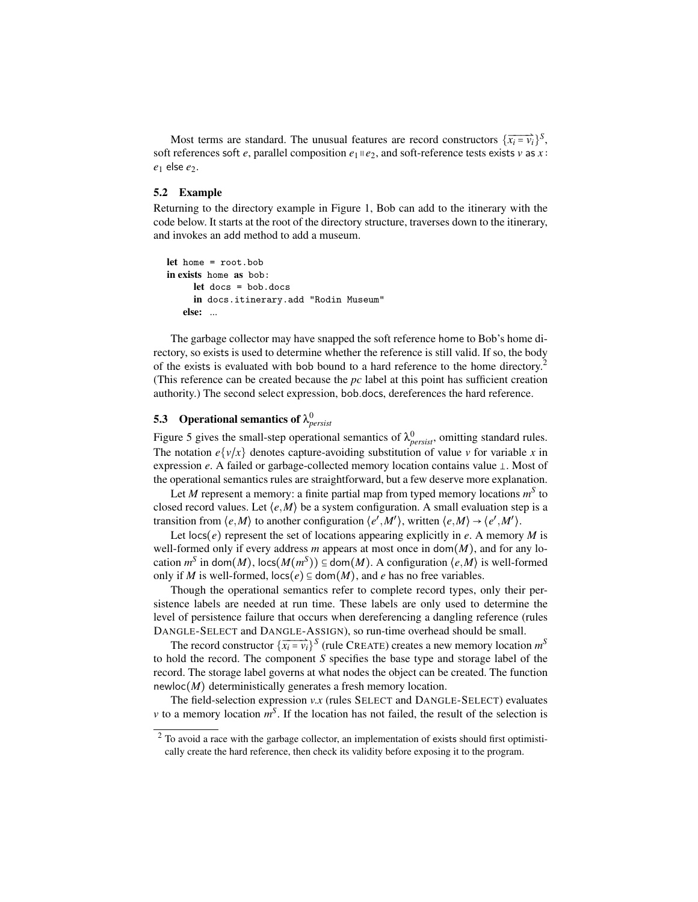Most terms are standard. The unusual features are record constructors  $\{\overrightarrow{x_i} = v_i\}^S$ , soft references soft *e*, parallel composition  $e_1 \parallel e_2$ , and soft-reference tests exists *v* as *x* ∶ *e*<sup>1</sup> else *e*2.

### 5.2 Example

Returning to the directory example in Figure [1,](#page-2-0) Bob can add to the itinerary with the code below. It starts at the root of the directory structure, traverses down to the itinerary, and invokes an add method to add a museum.

```
let home = root.bob
in exists home as bob:
     let docs = bob.docs
     in docs.itinerary.add "Rodin Museum"
   else: ...
```
The garbage collector may have snapped the soft reference home to Bob's home directory, so exists is used to determine whether the reference is still valid. If so, the body of the exists is evaluated with bob bound to a hard reference to the home directory.[2](#page-9-0) (This reference can be created because the *pc* label at this point has sufficient creation authority.) The second select expression, bob.docs, dereferences the hard reference.

# **5.3** Operational semantics of  $\lambda_{persist}^0$

Figure [5](#page-10-0) gives the small-step operational semantics of  $\lambda_{\text{persistent}}^0$ , omitting standard rules. The notation  $e\{v/x\}$  denotes capture-avoiding substitution of value *v* for variable *x* in expression  $e$ . A failed or garbage-collected memory location contains value  $\perp$ . Most of the operational semantics rules are straightforward, but a few deserve more explanation.

Let *M* represent a memory: a finite partial map from typed memory locations  $m<sup>S</sup>$  to closed record values. Let  $\langle e, M \rangle$  be a system configuration. A small evaluation step is a transition from  $\langle e, M \rangle$  to another configuration  $\langle e', M' \rangle$ , written  $\langle e, M \rangle \rightarrow \langle e', M' \rangle$ .

Let  $\text{locs}(e)$  represent the set of locations appearing explicitly in *e*. A memory *M* is well-formed only if every address  $m$  appears at most once in  $dom(M)$ , and for any location  $m^S$  in dom $(M)$ ,  $\text{locs}(M(m^S)) \subseteq \text{dom}(M)$ . A configuration  $\langle e, M \rangle$  is well-formed only if *M* is well-formed,  $\text{locs}(e) \subseteq \text{dom}(M)$ , and *e* has no free variables.

Though the operational semantics refer to complete record types, only their persistence labels are needed at run time. These labels are only used to determine the level of persistence failure that occurs when dereferencing a dangling reference (rules D[ANGLE](#page-10-0)-SELECT and D[ANGLE](#page-10-0)-ASSIGN), so run-time overhead should be small.

The record constructor  $\{\overline{x_i} = \overrightarrow{v_i}\}^S$  (rule C[REATE](#page-10-0)) creates a new memory location  $m^S$ to hold the record. The component *S* specifies the base type and storage label of the record. The storage label governs at what nodes the object can be created. The function newloc(*M*) deterministically generates a fresh memory location.

The field-selection expression *v*.*x* (rules S[ELECT](#page-10-0) and D[ANGLE](#page-10-0)-SELECT) evaluates *v* to a memory location  $m^S$ . If the location has not failed, the result of the selection is

<span id="page-9-0"></span><sup>&</sup>lt;sup>2</sup> To avoid a race with the garbage collector, an implementation of exists should first optimistically create the hard reference, then check its validity before exposing it to the program.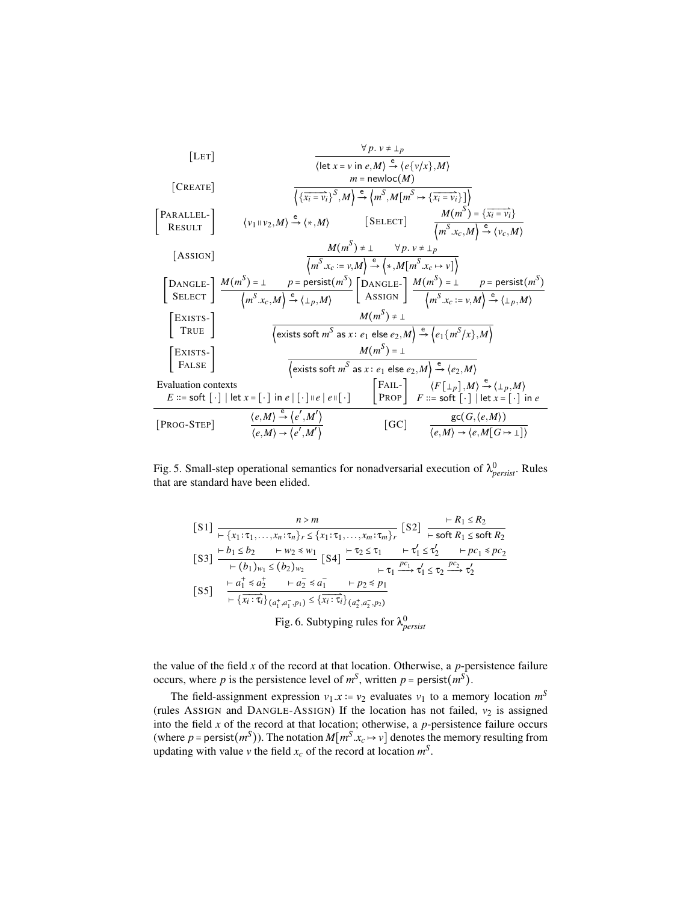<span id="page-10-0"></span>

Fig. 5. Small-step operational semantics for nonadversarial execution of  $\lambda_{persist}^0$ . Rules that are standard have been elided.

<span id="page-10-4"></span><span id="page-10-3"></span><span id="page-10-2"></span><span id="page-10-1"></span>
$$
[S1] \frac{n > m}{\leftarrow \{x_1 : \tau_1, \dots, x_n : \tau_n\}_r \leq \{x_1 : \tau_1, \dots, x_m : \tau_m\}_r} [S2] \frac{\leftarrow R_1 \leq R_2}{\leftarrow \text{soft } R_1 \leq \text{soft } R_2}
$$
  
\n
$$
[S3] \frac{\leftarrow b_1 \leq b_2 \quad \leftarrow w_2 \leq w_1}{\leftarrow (b_1)_{w_1} \leq (b_2)_{w_2}} [S4] \frac{\leftarrow \tau_2 \leq \tau_1 \quad \leftarrow \tau_1' \leq \tau_2'}{\leftarrow \tau_1} \frac{\rho c_1}{\leftarrow \tau_1} \leq \tau_2 \frac{\rho c_2}{\leftarrow \tau_2'} \tau_2'} \right]}{[S5] \frac{\leftarrow a_1^+ \leq a_2^+ \quad \leftarrow a_2^- \leq a_1^- \quad \leftarrow p_2 \leq p_1}{\leftarrow \{\overline{x_i} : \tau_i\}_{(a_1^+, a_1^-, p_1)} \leq \{\overline{x_i} : \tau_i\}_{(a_2^+, a_2^-, p_2)}\}}
$$
  
\nFig. 6. Subtyping rules for  $\lambda_{persist}^0$ 

<span id="page-10-5"></span>the value of the field *x* of the record at that location. Otherwise, a *p*-persistence failure occurs, where *p* is the persistence level of  $m^S$ , written *p* = persist( $m^S$ ).

The field-assignment expression  $v_1 \cdot x := v_2$  evaluates  $v_1$  to a memory location  $m^S$ (rules A[SSIGN](#page-10-0) and D[ANGLE](#page-10-0)-ASSIGN) If the location has not failed,  $v_2$  is assigned into the field *x* of the record at that location; otherwise, a *p*-persistence failure occurs (where  $p = \text{persist}(m^S)$ ). The notation  $M[m^S.x_c \mapsto v]$  denotes the memory resulting from updating with value *v* the field  $x_c$  of the record at location  $m^S$ .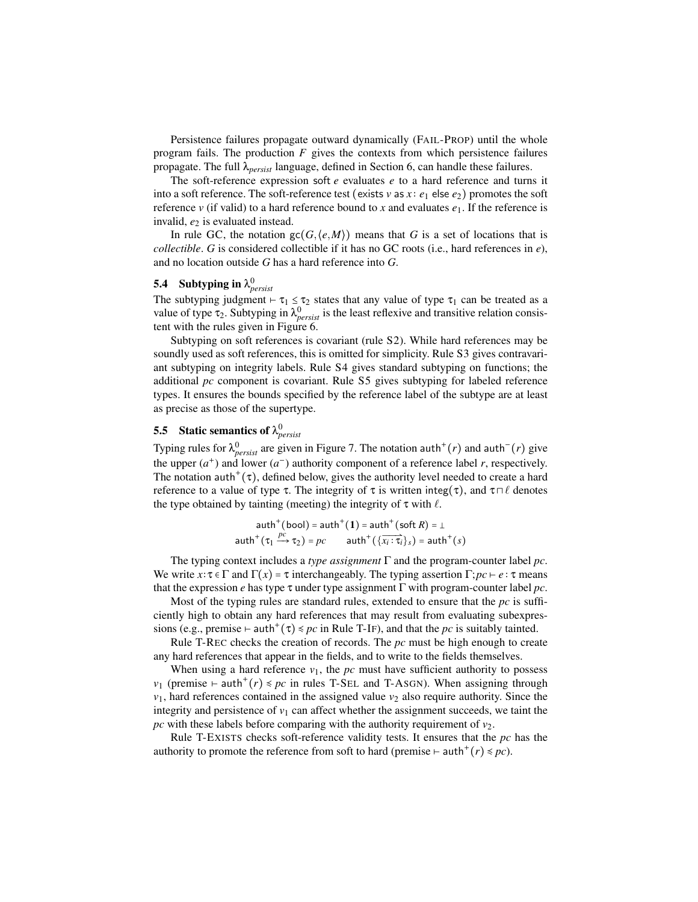Persistence failures propagate outward dynamically (FAIL-P[ROP](#page-10-0)) until the whole program fails. The production *F* gives the contexts from which persistence failures propagate. The full λ*persist* language, defined in Section [6,](#page-13-0) can handle these failures.

The soft-reference expression soft *e* evaluates *e* to a hard reference and turns it into a soft reference. The soft-reference test (exists  $v$  as  $x : e_1$  else  $e_2$ ) promotes the soft reference  $\nu$  (if valid) to a hard reference bound to *x* and evaluates  $e_1$ . If the reference is invalid,  $e_2$  is evaluated instead.

In rule [GC,](#page-10-0) the notation  $gc(G, \langle e, M \rangle)$  means that *G* is a set of locations that is *collectible*. *G* is considered collectible if it has no GC roots (i.e., hard references in *e*), and no location outside *G* has a hard reference into *G*.

# **5.4** Subtyping in  $\lambda_{persistent}^{0}$

The subtyping judgment  $\vdash \tau_1 \leq \tau_2$  states that any value of type  $\tau_1$  can be treated as a value of type  $\tau_2$ . Subtyping in  $\lambda_{persist}^0$  is the least reflexive and transitive relation consistent with the rules given in Figure [6.](#page-10-1)

Subtyping on soft references is covariant (rule [S2\)](#page-10-2). While hard references may be soundly used as soft references, this is omitted for simplicity. Rule [S3](#page-10-3) gives contravariant subtyping on integrity labels. Rule [S4](#page-10-4) gives standard subtyping on functions; the additional *pc* component is covariant. Rule [S5](#page-10-5) gives subtyping for labeled reference types. It ensures the bounds specified by the reference label of the subtype are at least as precise as those of the supertype.

# **5.5** Static semantics of  $\lambda_{persist}^0$

Typing rules for  $\lambda_{persistent}^{0}$  are given in Figure [7.](#page-12-0) The notation  $\text{auth}^+(r)$  and  $\text{auth}^-(r)$  give the upper  $(a^+)$  and lower  $(a^-)$  authority component of a reference label *r*, respectively. The notation auth<sup>+</sup>( $\tau$ ), defined below, gives the authority level needed to create a hard reference to a value of type τ. The integrity of τ is written integ(τ), and  $\tau \cap \ell$  denotes the type obtained by tainting (meeting) the integrity of  $\tau$  with  $\ell$ .

$$
auth^+(bool) = \text{auth}^+(1) = \text{auth}^+(\text{soft } R) = \bot
$$
\n
$$
\text{auth}^+(\tau_1 \xrightarrow{pc} \tau_2) = pc \qquad \text{auth}^+(\{\overline{x}_i : \tau_i\}_s) = \text{auth}^+(s)
$$

The typing context includes a *type assignment* Γ and the program-counter label *pc*. We write  $x: \tau \in \Gamma$  and  $\Gamma(x) = \tau$  interchangeably. The typing assertion  $\Gamma; pc \vdash e : \tau$  means that the expression *e* has type τ under type assignment Γ with program-counter label *pc*.

Most of the typing rules are standard rules, extended to ensure that the *pc* is sufficiently high to obtain any hard references that may result from evaluating subexpressions (e.g., premise ⊢ auth<sup>+</sup>( $\tau$ )  $\leq$  *pc* in Rule [T-I](#page-12-0)F), and that the *pc* is suitably tainted.

Rule [T-R](#page-12-0)EC checks the creation of records. The *pc* must be high enough to create any hard references that appear in the fields, and to write to the fields themselves.

When using a hard reference  $v_1$ , the  $pc$  must have sufficient authority to possess  $v_1$  (premise ⊢ auth<sup>+</sup> $(r)$  ≤ *pc* in rules [T-S](#page-12-0)EL and [T-A](#page-12-0)SGN). When assigning through  $v_1$ , hard references contained in the assigned value  $v_2$  also require authority. Since the integrity and persistence of  $v_1$  can affect whether the assignment succeeds, we taint the *pc* with these labels before comparing with the authority requirement of  $v_2$ .

Rule T-E[XISTS](#page-12-0) checks soft-reference validity tests. It ensures that the *pc* has the authority to promote the reference from soft to hard (premise ⊢ auth<sup>+</sup> $(r)$  ≤ *pc*).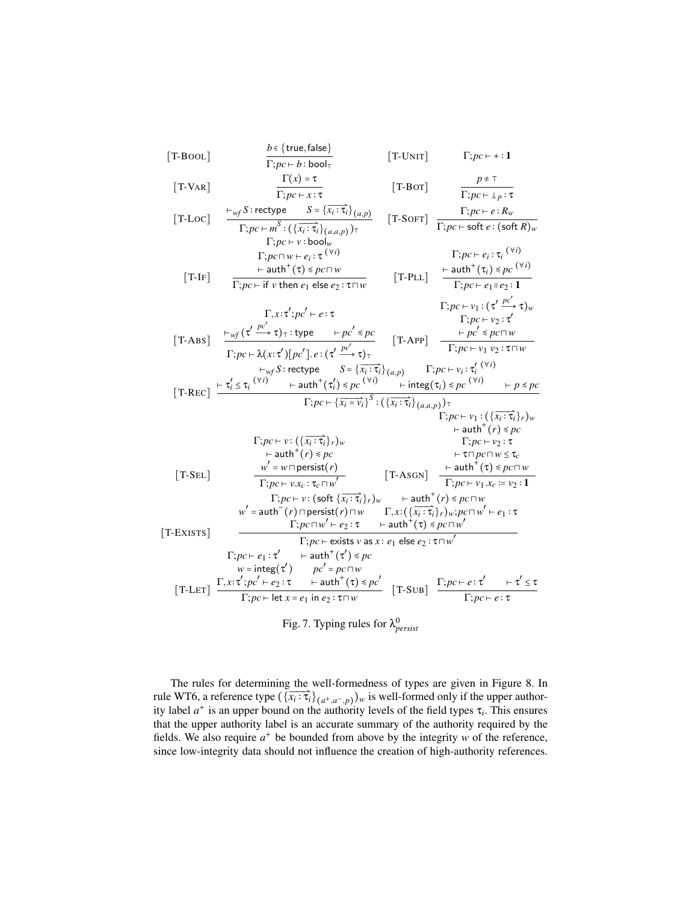<span id="page-12-0"></span>
$$
[T-Bool]
$$
\n
$$
[T-VAR]
$$
\n
$$
[T-VAR]
$$
\n
$$
[T-VAR]
$$
\n
$$
[T-VAR]
$$
\n
$$
[T-10C]
$$
\n
$$
[T-10C]
$$
\n
$$
[T-10C]
$$
\n
$$
[T-10C]
$$
\n
$$
[T-10C]
$$
\n
$$
[T-10C]
$$
\n
$$
[T-10C]
$$
\n
$$
[T-10C]
$$
\n
$$
[T-10C]
$$
\n
$$
[T-10C]
$$
\n
$$
[T-10C]
$$
\n
$$
[T-10C]
$$
\n
$$
[T-10C]
$$
\n
$$
[T-10C]
$$
\n
$$
[T-10C]
$$
\n
$$
[T-10C]
$$
\n
$$
[T-10C]
$$
\n
$$
[T-10C]
$$
\n
$$
[T-10C]
$$
\n
$$
[T-10C]
$$
\n
$$
[T-10C]
$$
\n
$$
[T-10C]
$$
\n
$$
[T-10C]
$$
\n
$$
[T-10C]
$$
\n
$$
[T-10C]
$$
\n
$$
[T-10C]
$$
\n
$$
[T-10C]
$$
\n
$$
[T-10C]
$$
\n
$$
[T-10C]
$$
\n
$$
[T-10C]
$$
\n
$$
[T-10C]
$$
\n
$$
[T-10C]
$$
\n
$$
[T-10C]
$$
\n
$$
[T-10C]
$$
\n
$$
[T-10C]
$$
\n
$$
[T-10C]
$$
\n
$$
[T-10C]
$$
\n
$$
[T-10C]
$$
\n
$$
[T-10C]
$$
\n
$$
[T-10C]
$$
\n
$$
[T-10C]
$$
\n
$$
[T-10C]
$$
\n
$$
[T-10C]
$$
\n
$$
[
$$

Fig. 7. Typing rules for λ 0 *persist*

The rules for determining the well-formedness of types are given in Figure [8.](#page-13-1) In rule [WT6,](#page-13-2) a reference type  $(\{\overline{x_i}:\tau_i\}_{(a^+,a^-,p)})_w$  is well-formed only if the upper authority label  $a^+$  is an upper bound on the authority levels of the field types  $\tau_i$ . This ensures that the upper authority label is an accurate summary of the authority required by the fields. We also require  $a^+$  be bounded from above by the integrity  $w$  of the reference, since low-integrity data should not influence the creation of high-authority references.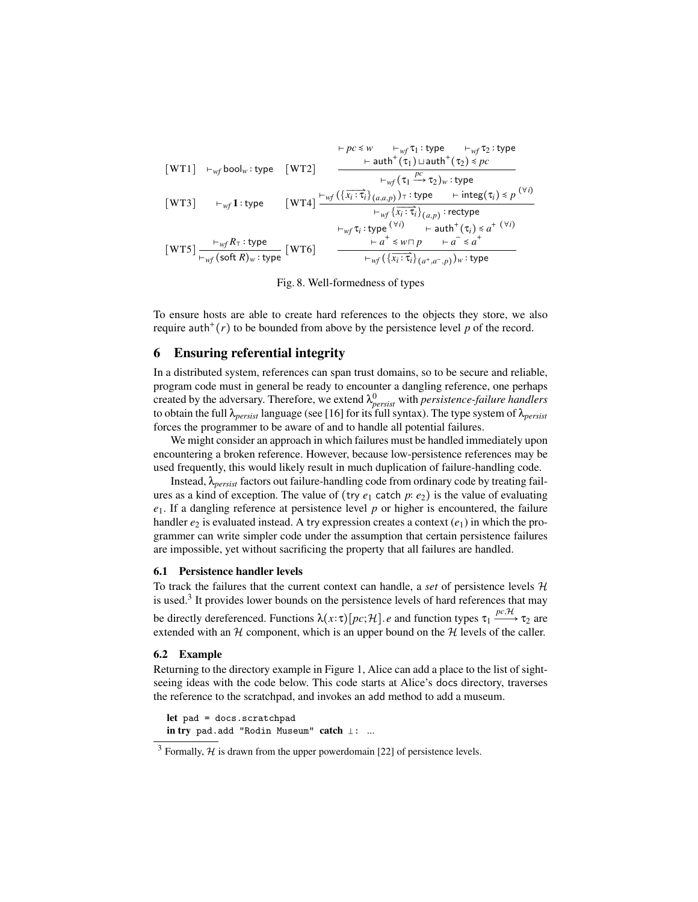<span id="page-13-1"></span>
$$
[WT1] \quad \vdash_{wf} \text{bool}_w : \text{type} \quad [WT2] \quad \begin{array}{rcl} & \vdash_{pC \preceq w} & \vdash_{wf} \tau_1 : \text{type} & \vdash_{wf} \tau_2 : \text{type} \\ & \vdash \text{auth}^+(\tau_1) \sqcup \text{auth}^+(\tau_2) \preceq pc \\ & \vdash_{wf} (\tau_1 \xrightarrow{pc} \tau_2)_w : \text{type} \\ & \vdash_{wf} 1 : \text{type} \quad [WT4] \xrightarrow{\vdash_{wf} (\{x_i : \tau_i\}} (a, a, p)) \tau : \text{type} \quad \vdash \text{integ}(\tau_i) \preceq p \\ & \vdash_{wf} \{x_i : \tau_i\}} (a, p) : \text{receive} \quad \vdash \text{output}(\tau_i) \preceq a^+ \\ & \vdash_{wf} \tau_i : \text{type} \quad \vdash \text{auth}^+(\tau_i) \preceq a^+ \\ & \vdash_{wf} \tau_i : \text{type} \quad \vdash a^+ \preceq w \sqcap p \quad \vdash a^- \preceq a^+ \\ & \vdash_{wf} (\{x_i : \tau_i\}} (a, a, p))_w : \text{type} \end{array}
$$

<span id="page-13-2"></span>Fig. 8. Well-formedness of types

To ensure hosts are able to create hard references to the objects they store, we also require auth<sup>+</sup> $(r)$  to be bounded from above by the persistence level p of the record.

# <span id="page-13-0"></span>6 Ensuring referential integrity

In a distributed system, references can span trust domains, so to be secure and reliable, program code must in general be ready to encounter a dangling reference, one perhaps created by the adversary. Therefore, we extend  $\lambda_{persist}^0$  with *persistence-failure handlers* to obtain the full λ*persist* language (see [\[16\]](#page-19-11) for its full syntax). The type system of λ*persist* forces the programmer to be aware of and to handle all potential failures.

We might consider an approach in which failures must be handled immediately upon encountering a broken reference. However, because low-persistence references may be used frequently, this would likely result in much duplication of failure-handling code.

Instead, λ*persist* factors out failure-handling code from ordinary code by treating failures as a kind of exception. The value of (try *e*<sup>1</sup> catch *p*∶ *e*2) is the value of evaluating  $e_1$ . If a dangling reference at persistence level  $p$  or higher is encountered, the failure handler  $e_2$  is evaluated instead. A try expression creates a context  $(e_1)$  in which the programmer can write simpler code under the assumption that certain persistence failures are impossible, yet without sacrificing the property that all failures are handled.

### 6.1 Persistence handler levels

To track the failures that the current context can handle, a *set* of persistence levels H is used.<sup>[3](#page-13-3)</sup> It provides lower bounds on the persistence levels of hard references that may

be directly dereferenced. Functions  $\lambda(x:\tau)[pc;\mathcal{H}]$ . *e* and function types  $\tau_1 \xrightarrow{pc,\mathcal{H}} \tau_2$  are extended with an  $H$  component, which is an upper bound on the  $H$  levels of the caller.

#### 6.2 Example

Returning to the directory example in Figure [1,](#page-2-0) Alice can add a place to the list of sightseeing ideas with the code below. This code starts at Alice's docs directory, traverses the reference to the scratchpad, and invokes an add method to add a museum.

let pad = docs.scratchpad in try pad.add "Rodin Museum" catch  $\perp$ : ...

<span id="page-13-3"></span><sup>&</sup>lt;sup>3</sup> Formally,  $H$  is drawn from the upper powerdomain [\[22\]](#page-19-16) of persistence levels.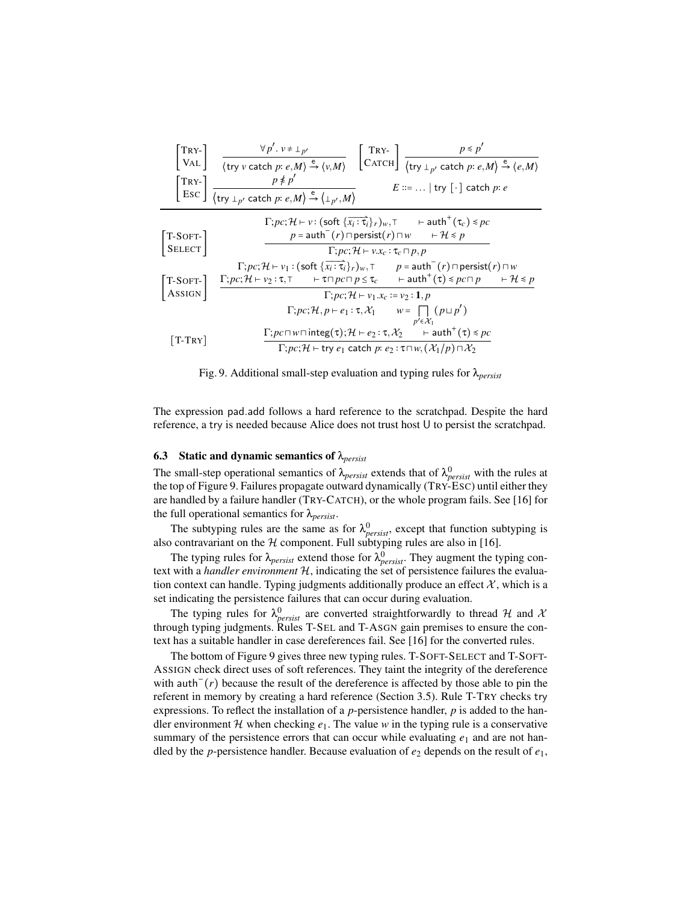<span id="page-14-0"></span>

Fig. 9. Additional small-step evaluation and typing rules for λ*persist*

The expression pad.add follows a hard reference to the scratchpad. Despite the hard reference, a try is needed because Alice does not trust host U to persist the scratchpad.

### 6.3 Static and dynamic semantics of λ*persist*

The small-step operational semantics of  $\lambda_{persist}$  extends that of  $\lambda_{persist}^0$  with the rules at the top of Figure [9.](#page-14-0) Failures propagate outward dynamically (TRY[-E](#page-14-0)SC) until either they are handled by a failure handler (TRY-C[ATCH](#page-14-0)), or the whole program fails. See [\[16\]](#page-19-11) for the full operational semantics for λ*persist*.

The subtyping rules are the same as for  $\lambda_{\text{persist}}^0$ , except that function subtyping is also contravariant on the  $H$  component. Full subtyping rules are also in [\[16\]](#page-19-11).

The typing rules for  $\lambda_{persist}$  extend those for  $\lambda_{persist}^0$ . They augment the typing context with a *handler environment* H, indicating the set of persistence failures the evaluation context can handle. Typing judgments additionally produce an effect  $X$ , which is a set indicating the persistence failures that can occur during evaluation.

The typing rules for  $\lambda_{persist}^0$  are converted straightforwardly to thread H and  $\lambda$ through typing judgments. Rules [T-S](#page-12-0)EL and [T-A](#page-12-0)SGN gain premises to ensure the context has a suitable handler in case dereferences fail. See [\[16\]](#page-19-11) for the converted rules.

The bottom of Figure [9](#page-14-0) gives three new typing rules. T-SOFT-S[ELECT](#page-14-0) and [T-S](#page-14-0)OFT-A[SSIGN](#page-14-0) check direct uses of soft references. They taint the integrity of the dereference with auth<sup>-</sup>(*r*) because the result of the dereference is affected by those able to pin the referent in memory by creating a hard reference (Section [3.5\)](#page-5-1). Rule [T-T](#page-14-0)RY checks try expressions. To reflect the installation of a *p*-persistence handler, *p* is added to the handler environment H when checking  $e_1$ . The value *w* in the typing rule is a conservative summary of the persistence errors that can occur while evaluating  $e_1$  and are not handled by the *p*-persistence handler. Because evaluation of  $e_2$  depends on the result of  $e_1$ ,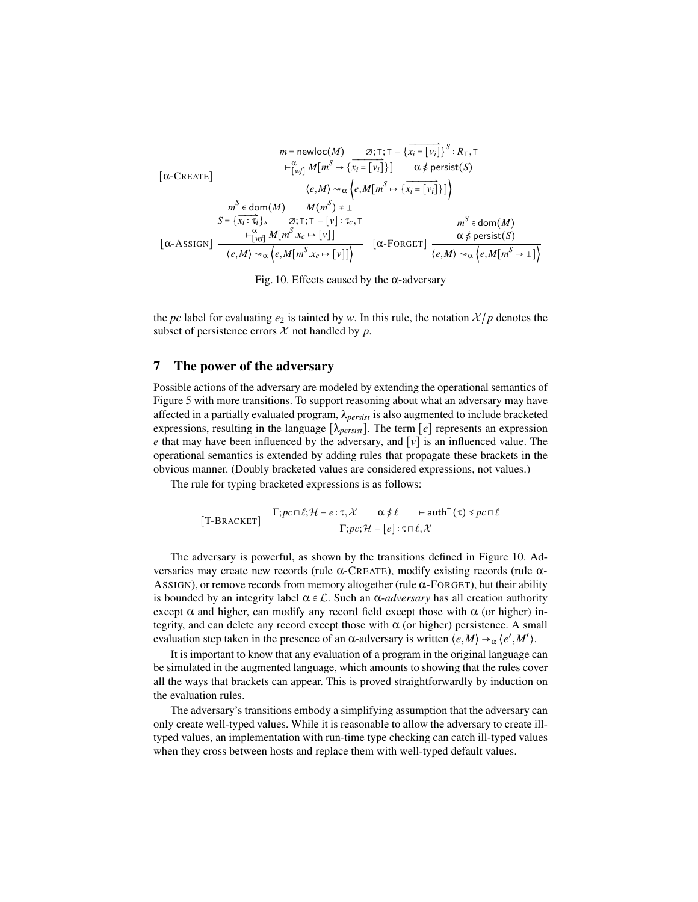<span id="page-15-1"></span>
$$
m = \text{newloc}(M) \qquad \varnothing; \top; \top \vdash \{\overline{x_i} = [\overline{v_i}]\}^S : R_{\top}, \top
$$
\n
$$
\left[\alpha \text{-CREATE}\right] \qquad \qquad \frac{\vdash^{\alpha}_{[\text{wf}]} M[m^S \rightarrow \{\overline{x_i} = [\overline{v_i}]\}] \qquad \alpha \neq \text{persist}(S)}{\langle e, M \rangle \leadsto \alpha \{e, M[m^S \rightarrow \{\overline{x_i} = [\overline{v_i}]\}] \}}\right)
$$
\n
$$
m^S \in \text{dom}(M) \qquad M(m^S) \neq \bot
$$
\n
$$
S = \{\overline{x_i : \tau_i}\}_S \qquad \varnothing; \top; \top \vdash [\overline{v}] : \tau_c, \top \qquad m^S \in \text{dom}(M)
$$
\n
$$
\left[\alpha \text{-ASSIGN}\right] \qquad \frac{\vdash^{\alpha}_{[\text{wf}]} M[m^S \dots \downarrow \vdash [\overline{v}]]}{\langle e, M \rangle \leadsto \alpha \{e, M[m^S \dots \downarrow \vdash [\overline{v}]] \}} \qquad [\alpha \text{-FORGET}] \qquad \frac{\alpha \neq \text{persist}(S)}{\langle e, M \rangle \leadsto \alpha \{e, M[m^S \rightarrow \bot] \}}
$$

Fig. 10. Effects caused by the  $\alpha$ -adversary

the *pc* label for evaluating  $e_2$  is tainted by *w*. In this rule, the notation  $\mathcal{X}/p$  denotes the subset of persistence errors  $X$  not handled by  $p$ .

# <span id="page-15-0"></span>7 The power of the adversary

Possible actions of the adversary are modeled by extending the operational semantics of Figure [5](#page-10-0) with more transitions. To support reasoning about what an adversary may have affected in a partially evaluated program, λ*persist* is also augmented to include bracketed expressions, resulting in the language  $[\lambda_{persist}]$ . The term  $[e]$  represents an expression *e* that may have been influenced by the adversary, and [*v*] is an influenced value. The operational semantics is extended by adding rules that propagate these brackets in the obvious manner. (Doubly bracketed values are considered expressions, not values.)

The rule for typing bracketed expressions is as follows:

$$
\begin{bmatrix} \text{T-BRACKET} \end{bmatrix} \quad \frac{\Gamma; pc \sqcap \ell; \mathcal{H} \vdash e: \tau, \mathcal{X} \qquad \alpha \nless \ell \qquad \vdash \text{auth}^+(\tau) \leq pc \sqcap \ell}{\Gamma; pc; \mathcal{H} \vdash [e]: \tau \sqcap \ell, \mathcal{X}}
$$

The adversary is powerful, as shown by the transitions defined in Figure [10.](#page-15-1) Adversaries may create new records (rule α-C[REATE](#page-15-1)), modify existing records (rule [α](#page-15-1)-A[SSIGN](#page-15-1)), or remove records from memory altogether (rule α-F[ORGET](#page-15-1)), but their ability is bounded by an integrity label  $\alpha \in \mathcal{L}$ . Such an  $\alpha$ -*adversary* has all creation authority except  $\alpha$  and higher, can modify any record field except those with  $\alpha$  (or higher) integrity, and can delete any record except those with  $\alpha$  (or higher) persistence. A small evaluation step taken in the presence of an  $\alpha$ -adversary is written  $\langle e, M \rangle \rightarrow_{\alpha} \langle e', M' \rangle$ .

It is important to know that any evaluation of a program in the original language can be simulated in the augmented language, which amounts to showing that the rules cover all the ways that brackets can appear. This is proved straightforwardly by induction on the evaluation rules.

The adversary's transitions embody a simplifying assumption that the adversary can only create well-typed values. While it is reasonable to allow the adversary to create illtyped values, an implementation with run-time type checking can catch ill-typed values when they cross between hosts and replace them with well-typed default values.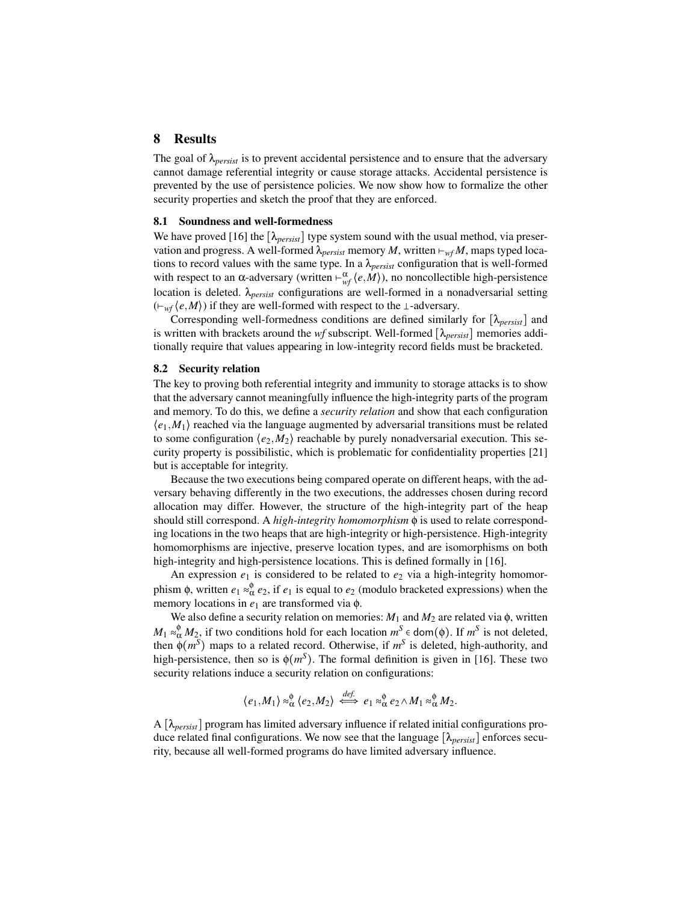# <span id="page-16-0"></span>8 Results

The goal of  $\lambda_{persist}$  is to prevent accidental persistence and to ensure that the adversary cannot damage referential integrity or cause storage attacks. Accidental persistence is prevented by the use of persistence policies. We now show how to formalize the other security properties and sketch the proof that they are enforced.

#### 8.1 Soundness and well-formedness

We have proved [\[16\]](#page-19-11) the [λ*persist*] type system sound with the usual method, via preservation and progress. A well-formed  $\lambda_{persist}$  memory *M*, written  $\vdash_{wf} M$ , maps typed locations to record values with the same type. In a  $\lambda_{persist}$  configuration that is well-formed with respect to an α-adversary (written  $\vdash^{\alpha}_{wf} \langle e, M \rangle$ ), no noncollectible high-persistence location is deleted. λ*persist* configurations are well-formed in a nonadversarial setting  $( ⊢<sub>wf</sub> ⟨*e*, *M*⟩)$  if they are well-formed with respect to the ⊥-adversary.

Corresponding well-formedness conditions are defined similarly for [λ*persist*] and is written with brackets around the *wf* subscript. Well-formed [λ*persist*] memories additionally require that values appearing in low-integrity record fields must be bracketed.

### 8.2 Security relation

The key to proving both referential integrity and immunity to storage attacks is to show that the adversary cannot meaningfully influence the high-integrity parts of the program and memory. To do this, we define a *security relation* and show that each configuration  $\langle e_1, M_1 \rangle$  reached via the language augmented by adversarial transitions must be related to some configuration  $\langle e_2, M_2 \rangle$  reachable by purely nonadversarial execution. This security property is possibilistic, which is problematic for confidentiality properties [\[21\]](#page-19-17) but is acceptable for integrity.

Because the two executions being compared operate on different heaps, with the adversary behaving differently in the two executions, the addresses chosen during record allocation may differ. However, the structure of the high-integrity part of the heap should still correspond. A *high-integrity homomorphism* φ is used to relate corresponding locations in the two heaps that are high-integrity or high-persistence. High-integrity homomorphisms are injective, preserve location types, and are isomorphisms on both high-integrity and high-persistence locations. This is defined formally in [\[16\]](#page-19-11).

An expression  $e_1$  is considered to be related to  $e_2$  via a high-integrity homomorphism φ, written  $e_1 \approx_{\alpha}^{\phi} e_2$ , if  $e_1$  is equal to  $e_2$  (modulo bracketed expressions) when the memory locations in *e*<sup>1</sup> are transformed via φ.

We also define a security relation on memories:  $M_1$  and  $M_2$  are related via  $\phi$ , written  $M_1 \approx_{\alpha}^{\phi} M_2$ , if two conditions hold for each location  $m^S \in \text{dom}(\phi)$ . If  $m^S$  is not deleted, then  $\phi(m^S)$  maps to a related record. Otherwise, if  $m^S$  is deleted, high-authority, and high-persistence, then so is  $\phi(m^S)$ . The formal definition is given in [\[16\]](#page-19-11). These two security relations induce a security relation on configurations:

$$
\langle e_1, M_1 \rangle \approx_{\alpha}^{\phi} \langle e_2, M_2 \rangle \stackrel{def.}{\iff} e_1 \approx_{\alpha}^{\phi} e_2 \wedge M_1 \approx_{\alpha}^{\phi} M_2.
$$

A [λ*persist*] program has limited adversary influence if related initial configurations produce related final configurations. We now see that the language [λ*persist*] enforces security, because all well-formed programs do have limited adversary influence.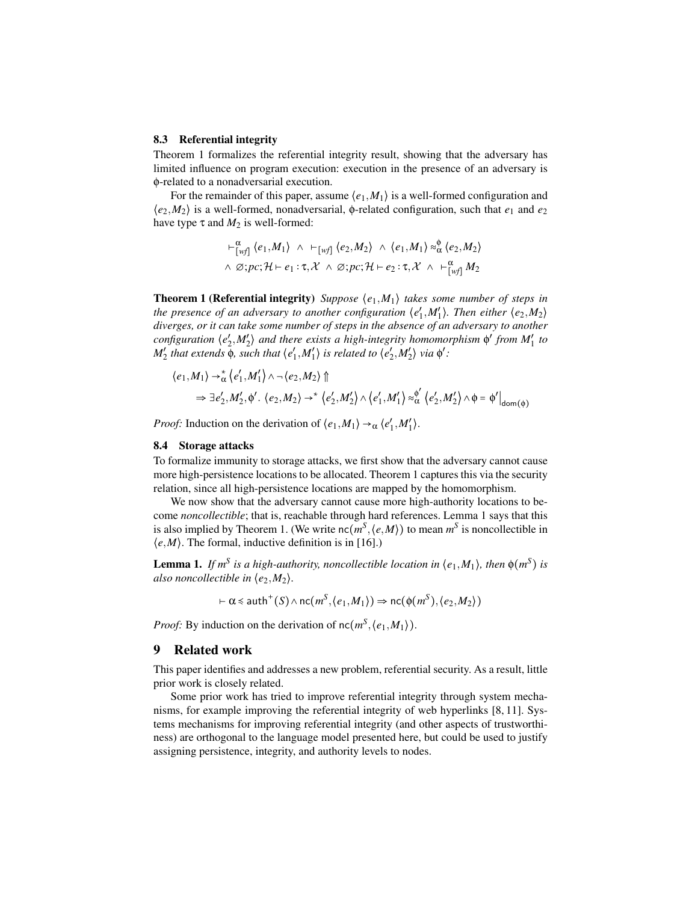#### 8.3 Referential integrity

Theorem [1](#page-17-1) formalizes the referential integrity result, showing that the adversary has limited influence on program execution: execution in the presence of an adversary is φ-related to a nonadversarial execution.

For the remainder of this paper, assume  $\langle e_1, M_1 \rangle$  is a well-formed configuration and  $\langle e_2, M_2 \rangle$  is a well-formed, nonadversarial, φ-related configuration, such that  $e_1$  and  $e_2$ have type  $\tau$  and  $M_2$  is well-formed:

$$
\vdash_{[wf]}^{\alpha} \langle e_1, M_1 \rangle \land \vdash_{[wf]} \langle e_2, M_2 \rangle \land \langle e_1, M_1 \rangle \approx_{\alpha}^{\phi} \langle e_2, M_2 \rangle
$$
  
 
$$
\land \varnothing; pc; \mathcal{H} \vdash e_1 : \tau, \mathcal{X} \land \varnothing; pc; \mathcal{H} \vdash e_2 : \tau, \mathcal{X} \land \vdash_{[wf]}^{\alpha} M_2
$$

<span id="page-17-1"></span>Theorem 1 (Referential integrity) *Suppose* ⟨*e*1,*M*1⟩ *takes some number of steps in the presence of an adversary to another configuration*  $\langle e'_1, M'_1 \rangle$ *. Then either*  $\langle e_2, M_2 \rangle$ *diverges, or it can take some number of steps in the absence of an adversary to another configuration*  $\langle e'_2, M'_2 \rangle$  *and there exists a high-integrity homomorphism*  $\phi'$  *from*  $M'_1$  *to M*<sup>'</sup><sub>2</sub> that extends  $\bar{\phi}$ , such that  $\langle e'_1, M'_1 \rangle$  is related to  $\langle e'_2, M'_2 \rangle$  via  $\phi'$ :

$$
\langle e_1, M_1 \rangle \rightarrow_{\alpha}^* \langle e_1', M_1' \rangle \land \neg \langle e_2, M_2 \rangle \uparrow
$$
  
\n
$$
\Rightarrow \exists e_2', M_2', \phi'. \langle e_2, M_2 \rangle \rightarrow^* \langle e_2', M_2' \rangle \land \langle e_1', M_1' \rangle \approx_{\alpha}^{\phi'} \langle e_2', M_2' \rangle \land \phi = \phi'|_{\text{dom}(\phi)}
$$

*Proof:* Induction on the derivation of  $\langle e_1, M_1 \rangle \rightarrow \alpha \langle e'_1, M'_1 \rangle$ .

### 8.4 Storage attacks

To formalize immunity to storage attacks, we first show that the adversary cannot cause more high-persistence locations to be allocated. Theorem [1](#page-17-1) captures this via the security relation, since all high-persistence locations are mapped by the homomorphism.

We now show that the adversary cannot cause more high-authority locations to become *noncollectible*; that is, reachable through hard references. Lemma [1](#page-17-2) says that this is also implied by Theorem [1.](#page-17-1) (We write  $nc(m^S, \langle e, M \rangle)$  to mean  $m^S$  is noncollectible in  $\langle e, M \rangle$ . The formal, inductive definition is in [\[16\]](#page-19-11).)

<span id="page-17-2"></span>**Lemma 1.** If  $m^S$  is a high-authority, noncollectible location in  $\langle e_1, M_1 \rangle$ , then  $\phi(m^S)$  is *also noncollectible in*  $\langle e_2, M_2 \rangle$ *.* 

$$
\vdash \alpha \leqslant \mathsf{auth}^+(S) \land \mathsf{nc}(m^S, \langle e_1, M_1 \rangle) \Rightarrow \mathsf{nc}(\phi(m^S), \langle e_2, M_2 \rangle)
$$

*Proof:* By induction on the derivation of  $nc(m^S, \langle e_1, M_1 \rangle)$ .

### <span id="page-17-0"></span>9 Related work

This paper identifies and addresses a new problem, referential security. As a result, little prior work is closely related.

Some prior work has tried to improve referential integrity through system mechanisms, for example improving the referential integrity of web hyperlinks [\[8,](#page-19-18) [11\]](#page-19-19). Systems mechanisms for improving referential integrity (and other aspects of trustworthiness) are orthogonal to the language model presented here, but could be used to justify assigning persistence, integrity, and authority levels to nodes.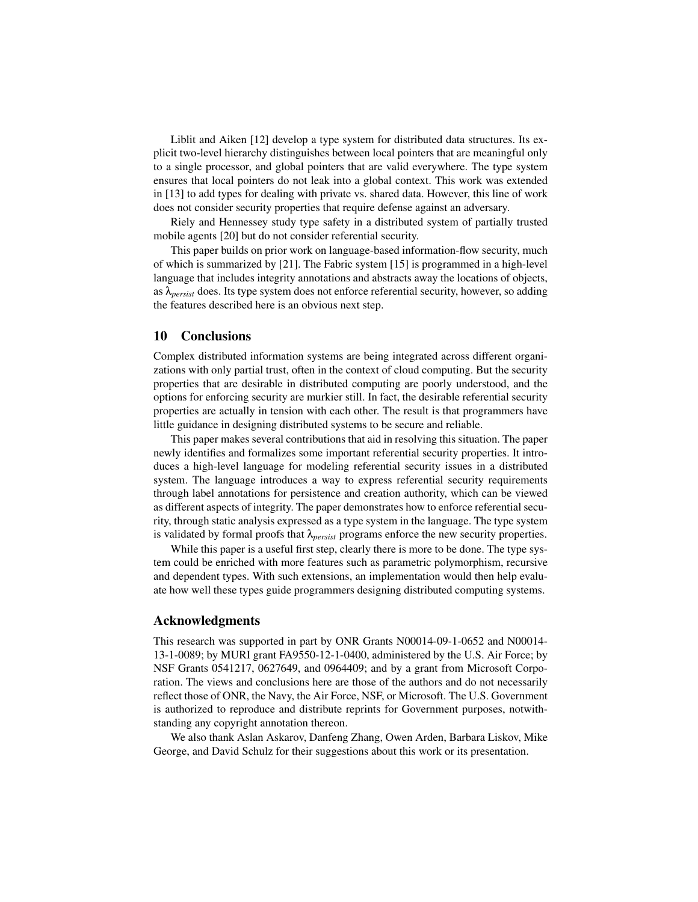Liblit and Aiken [\[12\]](#page-19-20) develop a type system for distributed data structures. Its explicit two-level hierarchy distinguishes between local pointers that are meaningful only to a single processor, and global pointers that are valid everywhere. The type system ensures that local pointers do not leak into a global context. This work was extended in [\[13\]](#page-19-21) to add types for dealing with private vs. shared data. However, this line of work does not consider security properties that require defense against an adversary.

Riely and Hennessey study type safety in a distributed system of partially trusted mobile agents [\[20\]](#page-19-22) but do not consider referential security.

This paper builds on prior work on language-based information-flow security, much of which is summarized by [\[21\]](#page-19-17). The Fabric system [\[15\]](#page-19-7) is programmed in a high-level language that includes integrity annotations and abstracts away the locations of objects, as λ*persist* does. Its type system does not enforce referential security, however, so adding the features described here is an obvious next step.

## <span id="page-18-0"></span>10 Conclusions

Complex distributed information systems are being integrated across different organizations with only partial trust, often in the context of cloud computing. But the security properties that are desirable in distributed computing are poorly understood, and the options for enforcing security are murkier still. In fact, the desirable referential security properties are actually in tension with each other. The result is that programmers have little guidance in designing distributed systems to be secure and reliable.

This paper makes several contributions that aid in resolving this situation. The paper newly identifies and formalizes some important referential security properties. It introduces a high-level language for modeling referential security issues in a distributed system. The language introduces a way to express referential security requirements through label annotations for persistence and creation authority, which can be viewed as different aspects of integrity. The paper demonstrates how to enforce referential security, through static analysis expressed as a type system in the language. The type system is validated by formal proofs that λ*persist* programs enforce the new security properties.

While this paper is a useful first step, clearly there is more to be done. The type system could be enriched with more features such as parametric polymorphism, recursive and dependent types. With such extensions, an implementation would then help evaluate how well these types guide programmers designing distributed computing systems.

### Acknowledgments

This research was supported in part by ONR Grants N00014-09-1-0652 and N00014- 13-1-0089; by MURI grant FA9550-12-1-0400, administered by the U.S. Air Force; by NSF Grants 0541217, 0627649, and 0964409; and by a grant from Microsoft Corporation. The views and conclusions here are those of the authors and do not necessarily reflect those of ONR, the Navy, the Air Force, NSF, or Microsoft. The U.S. Government is authorized to reproduce and distribute reprints for Government purposes, notwithstanding any copyright annotation thereon.

We also thank Aslan Askarov, Danfeng Zhang, Owen Arden, Barbara Liskov, Mike George, and David Schulz for their suggestions about this work or its presentation.